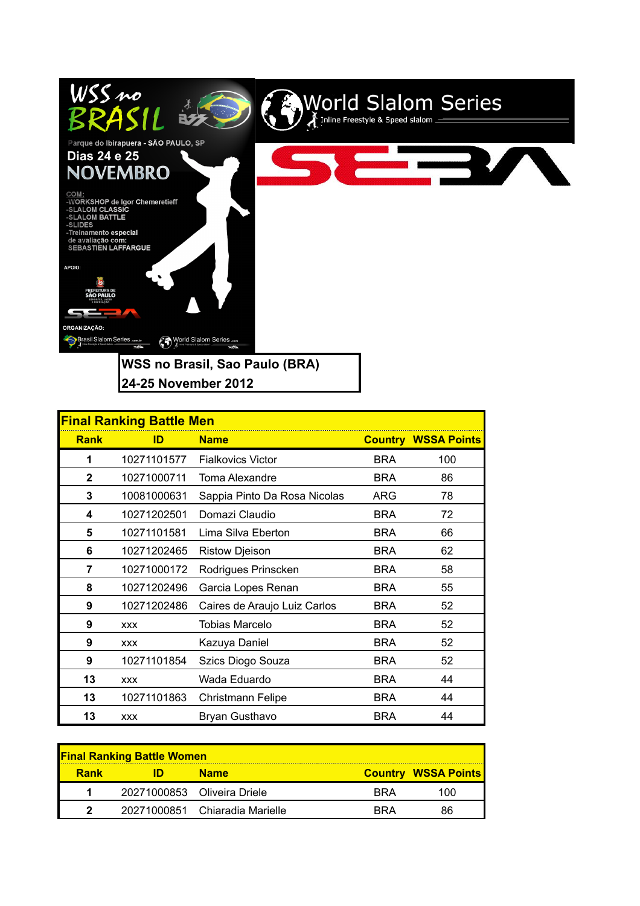

| <b>Final Ranking Battle Men</b> |             |                              |            |                            |  |
|---------------------------------|-------------|------------------------------|------------|----------------------------|--|
| <b>Rank</b>                     | ID          | <b>Name</b>                  |            | <b>Country WSSA Points</b> |  |
| 1                               | 10271101577 | <b>Fialkovics Victor</b>     | <b>BRA</b> | 100                        |  |
| $\mathbf{2}$                    | 10271000711 | Toma Alexandre               | <b>BRA</b> | 86                         |  |
| 3                               | 10081000631 | Sappia Pinto Da Rosa Nicolas | ARG        | 78                         |  |
| 4                               | 10271202501 | Domazi Claudio               | <b>BRA</b> | 72                         |  |
| 5                               | 10271101581 | Lima Silva Eberton           | <b>BRA</b> | 66                         |  |
| 6                               | 10271202465 | <b>Ristow Djeison</b>        | <b>BRA</b> | 62                         |  |
| 7                               | 10271000172 | Rodrigues Prinscken          | <b>BRA</b> | 58                         |  |
| 8                               | 10271202496 | Garcia Lopes Renan           | <b>BRA</b> | 55                         |  |
| 9                               | 10271202486 | Caires de Araujo Luiz Carlos | <b>BRA</b> | 52                         |  |
| 9                               | <b>XXX</b>  | <b>Tobias Marcelo</b>        | <b>BRA</b> | 52                         |  |
| 9                               | <b>XXX</b>  | Kazuya Daniel                | <b>BRA</b> | 52                         |  |
| 9                               | 10271101854 | Szics Diogo Souza            | <b>BRA</b> | 52                         |  |
| 13                              | <b>XXX</b>  | Wada Eduardo                 | <b>BRA</b> | 44                         |  |
| 13                              | 10271101863 | <b>Christmann Felipe</b>     | <b>BRA</b> | 44                         |  |
| 13                              | <b>XXX</b>  | Bryan Gusthavo               | <b>BRA</b> | 44                         |  |

| <b>Final Ranking Battle Women</b> |  |                                |            |                            |  |  |
|-----------------------------------|--|--------------------------------|------------|----------------------------|--|--|
| <b>Rank</b>                       |  | <b>Name</b>                    |            | <b>Country WSSA Points</b> |  |  |
|                                   |  | 20271000853 Oliveira Driele    | <b>RRA</b> | 100                        |  |  |
| າ                                 |  | 20271000851 Chiaradia Marielle | RRA        | 86                         |  |  |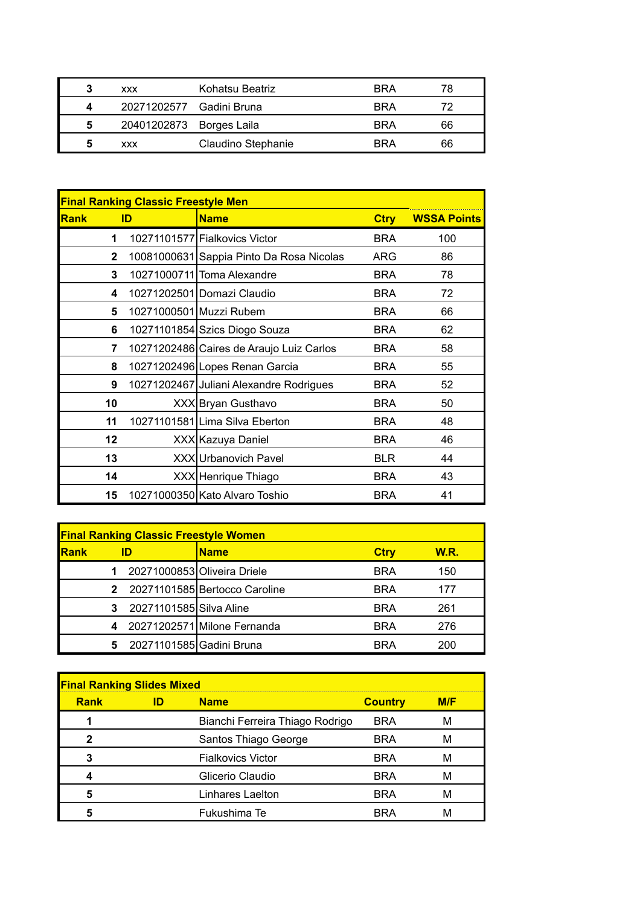| 3 | <b>XXX</b>               | Kohatsu Beatriz    | <b>BRA</b> | 78 |
|---|--------------------------|--------------------|------------|----|
|   | 20271202577 Gadini Bruna |                    | <b>BRA</b> | 72 |
| 5 | 20401202873 Borges Laila |                    | <b>BRA</b> | 66 |
| 5 | <b>XXX</b>               | Claudino Stephanie | <b>RRA</b> | 66 |

| <b>Final Ranking Classic Freestyle Men</b> |    |                                          |             |                    |  |
|--------------------------------------------|----|------------------------------------------|-------------|--------------------|--|
| Rank                                       | ID | <b>Name</b>                              | <b>Ctry</b> | <b>WSSA Points</b> |  |
| 1                                          |    | 10271101577 Fialkovics Victor            | <b>BRA</b>  | 100                |  |
| $\mathbf{2}$                               |    | 10081000631 Sappia Pinto Da Rosa Nicolas | <b>ARG</b>  | 86                 |  |
| 3                                          |    | 10271000711 Toma Alexandre               | <b>BRA</b>  | 78                 |  |
| 4                                          |    | 10271202501 Domazi Claudio               | <b>BRA</b>  | 72                 |  |
| 5                                          |    | 10271000501 Muzzi Rubem                  | <b>BRA</b>  | 66                 |  |
| 6                                          |    | 10271101854 Szics Diogo Souza            | <b>BRA</b>  | 62                 |  |
| 7                                          |    | 10271202486 Caires de Araujo Luiz Carlos | <b>BRA</b>  | 58                 |  |
| 8                                          |    | 10271202496 Lopes Renan Garcia           | <b>BRA</b>  | 55                 |  |
| 9                                          |    | 10271202467 Juliani Alexandre Rodrigues  | <b>BRA</b>  | 52                 |  |
| 10                                         |    | XXX Bryan Gusthavo                       | <b>BRA</b>  | 50                 |  |
| 11                                         |    | 10271101581 Lima Silva Eberton           | <b>BRA</b>  | 48                 |  |
| 12                                         |    | XXX Kazuya Daniel                        | <b>BRA</b>  | 46                 |  |
| 13                                         |    | XXX Urbanovich Pavel                     | <b>BLR</b>  | 44                 |  |
| 14                                         |    | XXX Henrique Thiago                      | <b>BRA</b>  | 43                 |  |
| 15                                         |    | 10271000350 Kato Alvaro Toshio           | <b>BRA</b>  | 41                 |  |

| <b>Final Ranking Classic Freestyle Women</b> |    |                          |                               |             |             |  |  |
|----------------------------------------------|----|--------------------------|-------------------------------|-------------|-------------|--|--|
| Rank                                         | ID |                          | <b>Name</b>                   | <b>Ctry</b> | <b>W.R.</b> |  |  |
|                                              |    |                          | 20271000853 Oliveira Driele   | <b>BRA</b>  | 150         |  |  |
|                                              |    |                          | 20271101585 Bertocco Caroline | <b>BRA</b>  | 177         |  |  |
|                                              |    | 20271101585 Silva Aline  |                               | <b>BRA</b>  | 261         |  |  |
|                                              |    |                          | 20271202571 Milone Fernanda   | <b>BRA</b>  | 276         |  |  |
|                                              | 5  | 20271101585 Gadini Bruna |                               | <b>RRA</b>  | 200         |  |  |

| <b>Final Ranking Slides Mixed</b> |    |                                 |                |     |  |
|-----------------------------------|----|---------------------------------|----------------|-----|--|
| <b>Rank</b>                       | ID | <b>Name</b>                     | <b>Country</b> | M/F |  |
|                                   |    | Bianchi Ferreira Thiago Rodrigo | <b>BRA</b>     | М   |  |
| 2                                 |    | Santos Thiago George            | <b>BRA</b>     | М   |  |
| 3                                 |    | <b>Fialkovics Victor</b>        | <b>BRA</b>     | м   |  |
|                                   |    | Glicerio Claudio                | <b>BRA</b>     | M   |  |
| 5                                 |    | Linhares Laelton                | <b>BRA</b>     | м   |  |
|                                   |    | Fukushima Te                    | RR∆            |     |  |